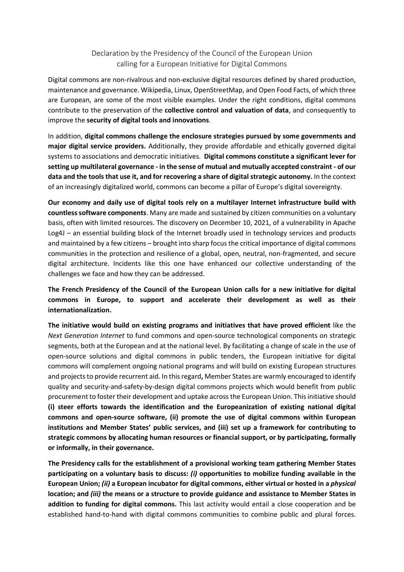## Declaration by the Presidency of the Council of the European Union calling for a European Initiative for Digital Commons

Digital commons are non-rivalrous and non-exclusive digital resources defined by shared production, maintenance and governance. Wikipedia, Linux, OpenStreetMap, and Open Food Facts, of which three are European, are some of the most visible examples. Under the right conditions, digital commons contribute to the preservation of the collective control and valuation of data, and consequently to improve the security of digital tools and innovations.

In addition, digital commons challenge the enclosure strategies pursued by some governments and major digital service providers. Additionally, they provide affordable and ethically governed digital systems to associations and democratic initiatives. Digital commons constitute a significant lever for setting up multilateral governance - in the sense of mutual and mutually accepted constraint - of our data and the tools that use it, and for recovering a share of digital strategic autonomy. In the context of an increasingly digitalized world, commons can become a pillar of Europe's digital sovereignty.

Our economy and daily use of digital tools rely on a multilayer Internet infrastructure build with countless software components. Many are made and sustained by citizen communities on a voluntary basis, often with limited resources. The discovery on December 10, 2021, of a vulnerability in Apache Log4J – an essential building block of the Internet broadly used in technology services and products and maintained by a few citizens – brought into sharp focus the critical importance of digital commons communities in the protection and resilience of a global, open, neutral, non-fragmented, and secure digital architecture. Incidents like this one have enhanced our collective understanding of the challenges we face and how they can be addressed.

The French Presidency of the Council of the European Union calls for a new initiative for digital commons in Europe, to support and accelerate their development as well as their internationalization.

The initiative would build on existing programs and initiatives that have proved efficient like the Next Generation Internet to fund commons and open-source technological components on strategic segments, both at the European and at the national level. By facilitating a change of scale in the use of open-source solutions and digital commons in public tenders, the European initiative for digital commons will complement ongoing national programs and will build on existing European structures and projects to provide recurrent aid. In this regard, Member States are warmly encouraged to identify quality and security-and-safety-by-design digital commons projects which would benefit from public procurement to foster their development and uptake across the European Union. This initiative should (i) steer efforts towards the identification and the Europeanization of existing national digital commons and open-source software, (ii) promote the use of digital commons within European institutions and Member States' public services, and (iii) set up a framework for contributing to strategic commons by allocating human resources or financial support, or by participating, formally or informally, in their governance.

The Presidency calls for the establishment of a provisional working team gathering Member States participating on a voluntary basis to discuss: (i) opportunities to mobilize funding available in the European Union; (ii) a European incubator for digital commons, either virtual or hosted in a physical location; and (iii) the means or a structure to provide guidance and assistance to Member States in addition to funding for digital commons. This last activity would entail a close cooperation and be established hand-to-hand with digital commons communities to combine public and plural forces.